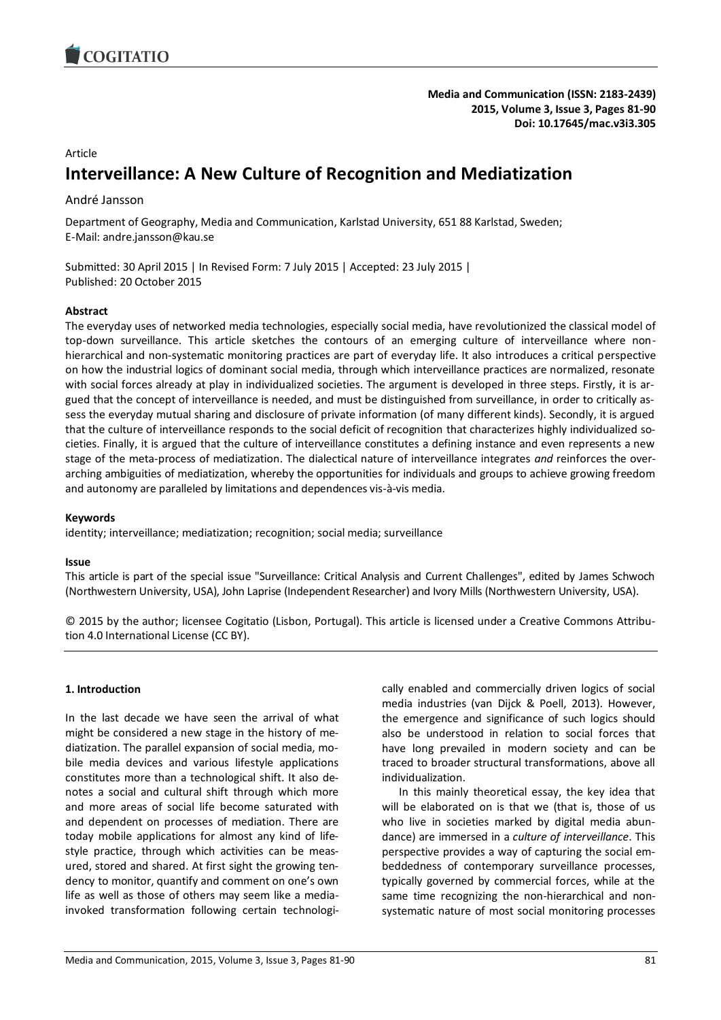

**Media and Communication (ISSN: 2183-2439) 2015, Volume 3, Issue 3, Pages 81-90 Doi: 10.17645/mac.v3i3.305**

#### Article

# **Interveillance: A New Culture of Recognition and Mediatization**

### André Jansson

Department of Geography, Media and Communication, Karlstad University, 651 88 Karlstad, Sweden; E-Mail: andre.jansson@kau.se

Submitted: 30 April 2015 | In Revised Form: 7 July 2015 | Accepted: 23 July 2015 | Published: 20 October 2015

#### **Abstract**

The everyday uses of networked media technologies, especially social media, have revolutionized the classical model of top-down surveillance. This article sketches the contours of an emerging culture of interveillance where nonhierarchical and non-systematic monitoring practices are part of everyday life. It also introduces a critical perspective on how the industrial logics of dominant social media, through which interveillance practices are normalized, resonate with social forces already at play in individualized societies. The argument is developed in three steps. Firstly, it is argued that the concept of interveillance is needed, and must be distinguished from surveillance, in order to critically assess the everyday mutual sharing and disclosure of private information (of many different kinds). Secondly, it is argued that the culture of interveillance responds to the social deficit of recognition that characterizes highly individualized societies. Finally, it is argued that the culture of interveillance constitutes a defining instance and even represents a new stage of the meta-process of mediatization. The dialectical nature of interveillance integrates *and* reinforces the overarching ambiguities of mediatization, whereby the opportunities for individuals and groups to achieve growing freedom and autonomy are paralleled by limitations and dependences vis-à-vis media.

#### **Keywords**

identity; interveillance; mediatization; recognition; social media; surveillance

#### **Issue**

This article is part of the special issue "Surveillance: Critical Analysis and Current Challenges", edited by James Schwoch (Northwestern University, USA), John Laprise (Independent Researcher) and Ivory Mills (Northwestern University, USA).

© 2015 by the author; licensee Cogitatio (Lisbon, Portugal). This article is licensed under a Creative Commons Attribution 4.0 International License (CC BY).

#### **1. Introduction**

In the last decade we have seen the arrival of what might be considered a new stage in the history of mediatization. The parallel expansion of social media, mobile media devices and various lifestyle applications constitutes more than a technological shift. It also denotes a social and cultural shift through which more and more areas of social life become saturated with and dependent on processes of mediation. There are today mobile applications for almost any kind of lifestyle practice, through which activities can be measured, stored and shared. At first sight the growing tendency to monitor, quantify and comment on one's own life as well as those of others may seem like a mediainvoked transformation following certain technologically enabled and commercially driven logics of social media industries (van Dijck & Poell, 2013). However, the emergence and significance of such logics should also be understood in relation to social forces that have long prevailed in modern society and can be traced to broader structural transformations, above all individualization.

In this mainly theoretical essay, the key idea that will be elaborated on is that we (that is, those of us who live in societies marked by digital media abundance) are immersed in a *culture of interveillance*. This perspective provides a way of capturing the social embeddedness of contemporary surveillance processes, typically governed by commercial forces, while at the same time recognizing the non-hierarchical and nonsystematic nature of most social monitoring processes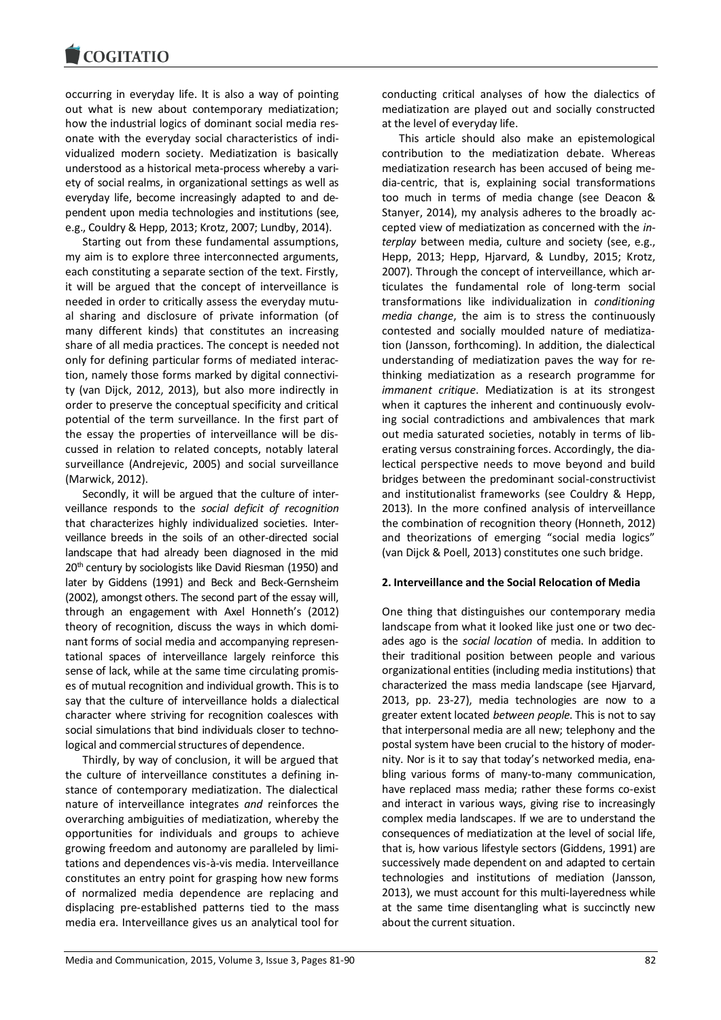occurring in everyday life. It is also a way of pointing out what is new about contemporary mediatization; how the industrial logics of dominant social media resonate with the everyday social characteristics of individualized modern society. Mediatization is basically understood as a historical meta-process whereby a variety of social realms, in organizational settings as well as everyday life, become increasingly adapted to and dependent upon media technologies and institutions (see, e.g., Couldry & Hepp, 2013; Krotz, 2007; Lundby, 2014).

Starting out from these fundamental assumptions, my aim is to explore three interconnected arguments, each constituting a separate section of the text. Firstly, it will be argued that the concept of interveillance is needed in order to critically assess the everyday mutual sharing and disclosure of private information (of many different kinds) that constitutes an increasing share of all media practices. The concept is needed not only for defining particular forms of mediated interaction, namely those forms marked by digital connectivity (van Dijck, 2012, 2013), but also more indirectly in order to preserve the conceptual specificity and critical potential of the term surveillance. In the first part of the essay the properties of interveillance will be discussed in relation to related concepts, notably lateral surveillance (Andrejevic, 2005) and social surveillance (Marwick, 2012).

Secondly, it will be argued that the culture of interveillance responds to the *social deficit of recognition*  that characterizes highly individualized societies. Interveillance breeds in the soils of an other-directed social landscape that had already been diagnosed in the mid 20<sup>th</sup> century by sociologists like David Riesman (1950) and later by Giddens (1991) and Beck and Beck-Gernsheim (2002), amongst others. The second part of the essay will, through an engagement with Axel Honneth's (2012) theory of recognition, discuss the ways in which dominant forms of social media and accompanying representational spaces of interveillance largely reinforce this sense of lack, while at the same time circulating promises of mutual recognition and individual growth. This is to say that the culture of interveillance holds a dialectical character where striving for recognition coalesces with social simulations that bind individuals closer to technological and commercial structures of dependence.

Thirdly, by way of conclusion, it will be argued that the culture of interveillance constitutes a defining instance of contemporary mediatization. The dialectical nature of interveillance integrates *and* reinforces the overarching ambiguities of mediatization, whereby the opportunities for individuals and groups to achieve growing freedom and autonomy are paralleled by limitations and dependences vis-à-vis media. Interveillance constitutes an entry point for grasping how new forms of normalized media dependence are replacing and displacing pre-established patterns tied to the mass media era. Interveillance gives us an analytical tool for conducting critical analyses of how the dialectics of mediatization are played out and socially constructed at the level of everyday life.

This article should also make an epistemological contribution to the mediatization debate. Whereas mediatization research has been accused of being media-centric, that is, explaining social transformations too much in terms of media change (see Deacon & Stanyer, 2014), my analysis adheres to the broadly accepted view of mediatization as concerned with the *interplay* between media, culture and society (see, e.g., Hepp, 2013; Hepp, Hjarvard, & Lundby, 2015; Krotz, 2007). Through the concept of interveillance, which articulates the fundamental role of long-term social transformations like individualization in *conditioning media change*, the aim is to stress the continuously contested and socially moulded nature of mediatization (Jansson, forthcoming). In addition, the dialectical understanding of mediatization paves the way for rethinking mediatization as a research programme for *immanent critique*. Mediatization is at its strongest when it captures the inherent and continuously evolving social contradictions and ambivalences that mark out media saturated societies, notably in terms of liberating versus constraining forces. Accordingly, the dialectical perspective needs to move beyond and build bridges between the predominant social-constructivist and institutionalist frameworks (see Couldry & Hepp, 2013). In the more confined analysis of interveillance the combination of recognition theory (Honneth, 2012) and theorizations of emerging "social media logics" (van Dijck & Poell, 2013) constitutes one such bridge.

#### **2. Interveillance and the Social Relocation of Media**

One thing that distinguishes our contemporary media landscape from what it looked like just one or two decades ago is the *social location* of media. In addition to their traditional position between people and various organizational entities (including media institutions) that characterized the mass media landscape (see Hjarvard, 2013, pp. 23-27), media technologies are now to a greater extent located *between people*. This is not to say that interpersonal media are all new; telephony and the postal system have been crucial to the history of modernity. Nor is it to say that today's networked media, enabling various forms of many-to-many communication, have replaced mass media; rather these forms co-exist and interact in various ways, giving rise to increasingly complex media landscapes. If we are to understand the consequences of mediatization at the level of social life, that is, how various lifestyle sectors (Giddens, 1991) are successively made dependent on and adapted to certain technologies and institutions of mediation (Jansson, 2013), we must account for this multi-layeredness while at the same time disentangling what is succinctly new about the current situation.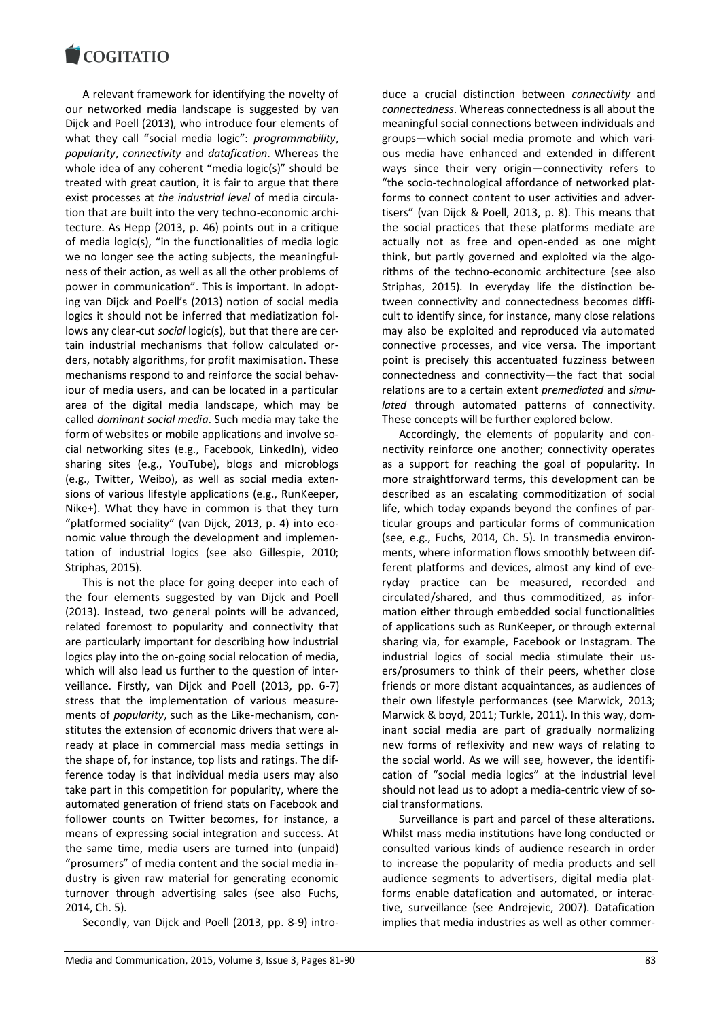A relevant framework for identifying the novelty of our networked media landscape is suggested by van Dijck and Poell (2013), who introduce four elements of what they call "social media logic": *programmability*, *popularity*, *connectivity* and *datafication*. Whereas the whole idea of any coherent "media logic(s)" should be treated with great caution, it is fair to argue that there exist processes at *the industrial level* of media circulation that are built into the very techno-economic architecture. As Hepp (2013, p. 46) points out in a critique of media logic(s), "in the functionalities of media logic we no longer see the acting subjects, the meaningfulness of their action, as well as all the other problems of power in communication". This is important. In adopting van Dijck and Poell's (2013) notion of social media logics it should not be inferred that mediatization follows any clear-cut *social* logic(s), but that there are certain industrial mechanisms that follow calculated orders, notably algorithms, for profit maximisation. These mechanisms respond to and reinforce the social behaviour of media users, and can be located in a particular area of the digital media landscape, which may be called *dominant social media*. Such media may take the form of websites or mobile applications and involve social networking sites (e.g., Facebook, LinkedIn), video sharing sites (e.g., YouTube), blogs and microblogs (e.g., Twitter, Weibo), as well as social media extensions of various lifestyle applications (e.g., RunKeeper, Nike+). What they have in common is that they turn "platformed sociality" (van Dijck, 2013, p. 4) into economic value through the development and implementation of industrial logics (see also Gillespie, 2010; Striphas, 2015).

This is not the place for going deeper into each of the four elements suggested by van Dijck and Poell (2013). Instead, two general points will be advanced, related foremost to popularity and connectivity that are particularly important for describing how industrial logics play into the on-going social relocation of media, which will also lead us further to the question of interveillance. Firstly, van Dijck and Poell (2013, pp. 6-7) stress that the implementation of various measurements of *popularity*, such as the Like-mechanism, constitutes the extension of economic drivers that were already at place in commercial mass media settings in the shape of, for instance, top lists and ratings. The difference today is that individual media users may also take part in this competition for popularity, where the automated generation of friend stats on Facebook and follower counts on Twitter becomes, for instance, a means of expressing social integration and success. At the same time, media users are turned into (unpaid) "prosumers" of media content and the social media industry is given raw material for generating economic turnover through advertising sales (see also Fuchs, 2014, Ch. 5).

Secondly, van Dijck and Poell (2013, pp. 8-9) intro-

duce a crucial distinction between *connectivity* and *connectedness*. Whereas connectedness is all about the meaningful social connections between individuals and groups—which social media promote and which various media have enhanced and extended in different ways since their very origin—connectivity refers to "the socio-technological affordance of networked platforms to connect content to user activities and advertisers" (van Dijck & Poell, 2013, p. 8). This means that the social practices that these platforms mediate are actually not as free and open-ended as one might think, but partly governed and exploited via the algorithms of the techno-economic architecture (see also Striphas, 2015). In everyday life the distinction between connectivity and connectedness becomes difficult to identify since, for instance, many close relations may also be exploited and reproduced via automated connective processes, and vice versa. The important point is precisely this accentuated fuzziness between connectedness and connectivity—the fact that social relations are to a certain extent *premediated* and *simulated* through automated patterns of connectivity. These concepts will be further explored below.

Accordingly, the elements of popularity and connectivity reinforce one another; connectivity operates as a support for reaching the goal of popularity. In more straightforward terms, this development can be described as an escalating commoditization of social life, which today expands beyond the confines of particular groups and particular forms of communication (see, e.g., Fuchs, 2014, Ch. 5). In transmedia environments, where information flows smoothly between different platforms and devices, almost any kind of everyday practice can be measured, recorded and circulated/shared, and thus commoditized, as information either through embedded social functionalities of applications such as RunKeeper, or through external sharing via, for example, Facebook or Instagram. The industrial logics of social media stimulate their users/prosumers to think of their peers, whether close friends or more distant acquaintances, as audiences of their own lifestyle performances (see Marwick, 2013; Marwick & boyd, 2011; Turkle, 2011). In this way, dominant social media are part of gradually normalizing new forms of reflexivity and new ways of relating to the social world. As we will see, however, the identification of "social media logics" at the industrial level should not lead us to adopt a media-centric view of social transformations.

Surveillance is part and parcel of these alterations. Whilst mass media institutions have long conducted or consulted various kinds of audience research in order to increase the popularity of media products and sell audience segments to advertisers, digital media platforms enable datafication and automated, or interactive, surveillance (see Andrejevic, 2007). Datafication implies that media industries as well as other commer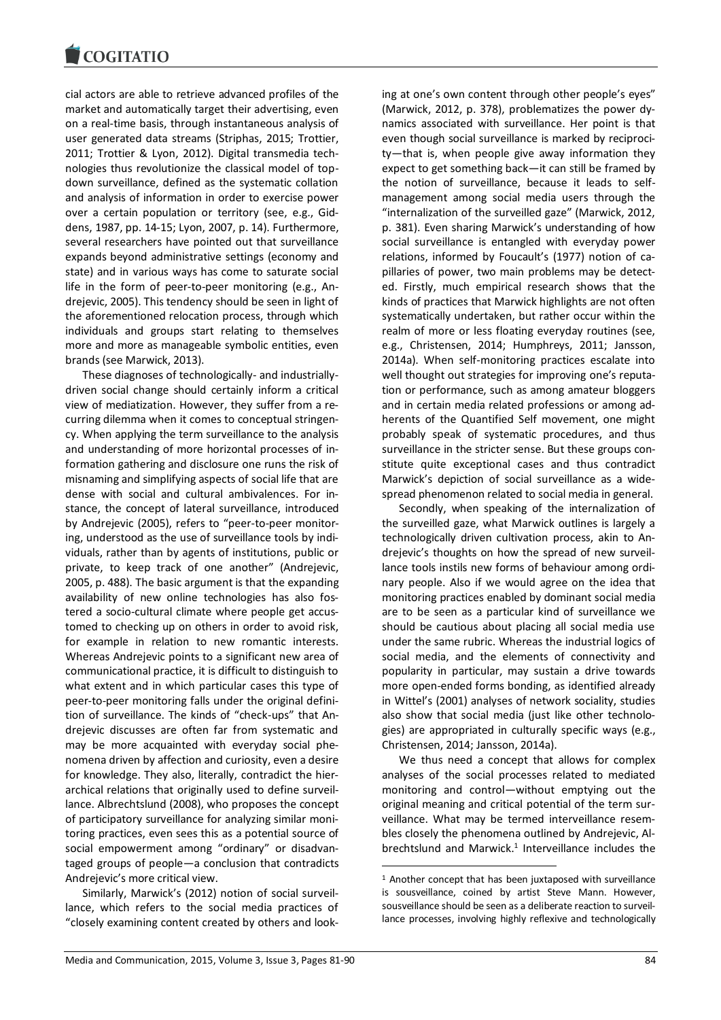cial actors are able to retrieve advanced profiles of the market and automatically target their advertising, even on a real-time basis, through instantaneous analysis of user generated data streams (Striphas, 2015; Trottier, 2011; Trottier & Lyon, 2012). Digital transmedia technologies thus revolutionize the classical model of topdown surveillance, defined as the systematic collation and analysis of information in order to exercise power over a certain population or territory (see, e.g., Giddens, 1987, pp. 14-15; Lyon, 2007, p. 14). Furthermore, several researchers have pointed out that surveillance expands beyond administrative settings (economy and state) and in various ways has come to saturate social life in the form of peer-to-peer monitoring (e.g., Andrejevic, 2005). This tendency should be seen in light of the aforementioned relocation process, through which individuals and groups start relating to themselves more and more as manageable symbolic entities, even brands (see Marwick, 2013).

These diagnoses of technologically- and industriallydriven social change should certainly inform a critical view of mediatization. However, they suffer from a recurring dilemma when it comes to conceptual stringency. When applying the term surveillance to the analysis and understanding of more horizontal processes of information gathering and disclosure one runs the risk of misnaming and simplifying aspects of social life that are dense with social and cultural ambivalences. For instance, the concept of lateral surveillance, introduced by Andrejevic (2005), refers to "peer-to-peer monitoring, understood as the use of surveillance tools by individuals, rather than by agents of institutions, public or private, to keep track of one another" (Andrejevic, 2005, p. 488). The basic argument is that the expanding availability of new online technologies has also fostered a socio-cultural climate where people get accustomed to checking up on others in order to avoid risk, for example in relation to new romantic interests. Whereas Andrejevic points to a significant new area of communicational practice, it is difficult to distinguish to what extent and in which particular cases this type of peer-to-peer monitoring falls under the original definition of surveillance. The kinds of "check-ups" that Andrejevic discusses are often far from systematic and may be more acquainted with everyday social phenomena driven by affection and curiosity, even a desire for knowledge. They also, literally, contradict the hierarchical relations that originally used to define surveillance. Albrechtslund (2008), who proposes the concept of participatory surveillance for analyzing similar monitoring practices, even sees this as a potential source of social empowerment among "ordinary" or disadvantaged groups of people—a conclusion that contradicts Andrejevic's more critical view.

Similarly, Marwick's (2012) notion of social surveillance, which refers to the social media practices of "closely examining content created by others and looking at one's own content through other people's eyes" (Marwick, 2012, p. 378), problematizes the power dynamics associated with surveillance. Her point is that even though social surveillance is marked by reciprocity—that is, when people give away information they expect to get something back—it can still be framed by the notion of surveillance, because it leads to selfmanagement among social media users through the "internalization of the surveilled gaze" (Marwick, 2012, p. 381). Even sharing Marwick's understanding of how social surveillance is entangled with everyday power relations, informed by Foucault's (1977) notion of capillaries of power, two main problems may be detected. Firstly, much empirical research shows that the kinds of practices that Marwick highlights are not often systematically undertaken, but rather occur within the realm of more or less floating everyday routines (see, e.g., Christensen, 2014; Humphreys, 2011; Jansson, 2014a). When self-monitoring practices escalate into well thought out strategies for improving one's reputation or performance, such as among amateur bloggers and in certain media related professions or among adherents of the Quantified Self movement, one might probably speak of systematic procedures, and thus surveillance in the stricter sense. But these groups constitute quite exceptional cases and thus contradict Marwick's depiction of social surveillance as a widespread phenomenon related to social media in general.

Secondly, when speaking of the internalization of the surveilled gaze, what Marwick outlines is largely a technologically driven cultivation process, akin to Andrejevic's thoughts on how the spread of new surveillance tools instils new forms of behaviour among ordinary people. Also if we would agree on the idea that monitoring practices enabled by dominant social media are to be seen as a particular kind of surveillance we should be cautious about placing all social media use under the same rubric. Whereas the industrial logics of social media, and the elements of connectivity and popularity in particular, may sustain a drive towards more open-ended forms bonding, as identified already in Wittel's (2001) analyses of network sociality, studies also show that social media (just like other technologies) are appropriated in culturally specific ways (e.g., Christensen, 2014; Jansson, 2014a).

We thus need a concept that allows for complex analyses of the social processes related to mediated monitoring and control—without emptying out the original meaning and critical potential of the term surveillance. What may be termed interveillance resembles closely the phenomena outlined by Andrejevic, Albrechtslund and Marwick.<sup>1</sup> Interveillance includes the

1

<sup>1</sup> Another concept that has been juxtaposed with surveillance is sousveillance, coined by artist Steve Mann. However, sousveillance should be seen as a deliberate reaction to surveillance processes, involving highly reflexive and technologically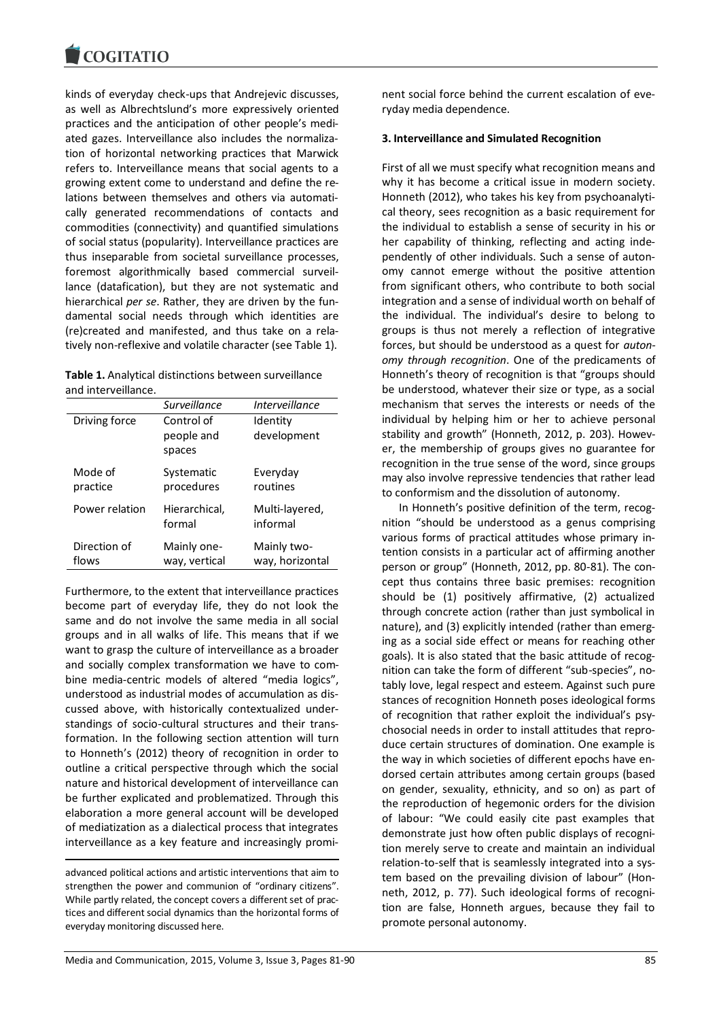kinds of everyday check-ups that Andrejevic discusses, as well as Albrechtslund's more expressively oriented practices and the anticipation of other people's mediated gazes. Interveillance also includes the normalization of horizontal networking practices that Marwick refers to. Interveillance means that social agents to a growing extent come to understand and define the relations between themselves and others via automatically generated recommendations of contacts and commodities (connectivity) and quantified simulations of social status (popularity). Interveillance practices are thus inseparable from societal surveillance processes, foremost algorithmically based commercial surveillance (datafication), but they are not systematic and hierarchical *per se*. Rather, they are driven by the fundamental social needs through which identities are (re)created and manifested, and thus take on a relatively non-reflexive and volatile character (see Table 1).

| Table 1. Analytical distinctions between surveillance |
|-------------------------------------------------------|
| and interveillance.                                   |

|                       | Surveillance                       | <i>Interveillance</i>          |
|-----------------------|------------------------------------|--------------------------------|
| Driving force         | Control of<br>people and<br>spaces | Identity<br>development        |
| Mode of<br>practice   | Systematic<br>procedures           | Everyday<br>routines           |
| Power relation        | Hierarchical,<br>formal            | Multi-layered,<br>informal     |
| Direction of<br>flows | Mainly one-<br>way, vertical       | Mainly two-<br>way, horizontal |

Furthermore, to the extent that interveillance practices become part of everyday life, they do not look the same and do not involve the same media in all social groups and in all walks of life. This means that if we want to grasp the culture of interveillance as a broader and socially complex transformation we have to combine media-centric models of altered "media logics", understood as industrial modes of accumulation as discussed above, with historically contextualized understandings of socio-cultural structures and their transformation. In the following section attention will turn to Honneth's (2012) theory of recognition in order to outline a critical perspective through which the social nature and historical development of interveillance can be further explicated and problematized. Through this elaboration a more general account will be developed of mediatization as a dialectical process that integrates interveillance as a key feature and increasingly promi-

advanced political actions and artistic interventions that aim to strengthen the power and communion of "ordinary citizens". While partly related, the concept covers a different set of practices and different social dynamics than the horizontal forms of everyday monitoring discussed here.

nent social force behind the current escalation of everyday media dependence.

#### **3. Interveillance and Simulated Recognition**

First of all we must specify what recognition means and why it has become a critical issue in modern society. Honneth (2012), who takes his key from psychoanalytical theory, sees recognition as a basic requirement for the individual to establish a sense of security in his or her capability of thinking, reflecting and acting independently of other individuals. Such a sense of autonomy cannot emerge without the positive attention from significant others, who contribute to both social integration and a sense of individual worth on behalf of the individual. The individual's desire to belong to groups is thus not merely a reflection of integrative forces, but should be understood as a quest for *autonomy through recognition*. One of the predicaments of Honneth's theory of recognition is that "groups should be understood, whatever their size or type, as a social mechanism that serves the interests or needs of the individual by helping him or her to achieve personal stability and growth" (Honneth, 2012, p. 203). However, the membership of groups gives no guarantee for recognition in the true sense of the word, since groups may also involve repressive tendencies that rather lead to conformism and the dissolution of autonomy.

In Honneth's positive definition of the term, recognition "should be understood as a genus comprising various forms of practical attitudes whose primary intention consists in a particular act of affirming another person or group" (Honneth, 2012, pp. 80-81). The concept thus contains three basic premises: recognition should be (1) positively affirmative, (2) actualized through concrete action (rather than just symbolical in nature), and (3) explicitly intended (rather than emerging as a social side effect or means for reaching other goals). It is also stated that the basic attitude of recognition can take the form of different "sub-species", notably love, legal respect and esteem. Against such pure stances of recognition Honneth poses ideological forms of recognition that rather exploit the individual's psychosocial needs in order to install attitudes that reproduce certain structures of domination. One example is the way in which societies of different epochs have endorsed certain attributes among certain groups (based on gender, sexuality, ethnicity, and so on) as part of the reproduction of hegemonic orders for the division of labour: "We could easily cite past examples that demonstrate just how often public displays of recognition merely serve to create and maintain an individual relation-to-self that is seamlessly integrated into a system based on the prevailing division of labour" (Honneth, 2012, p. 77). Such ideological forms of recognition are false, Honneth argues, because they fail to promote personal autonomy.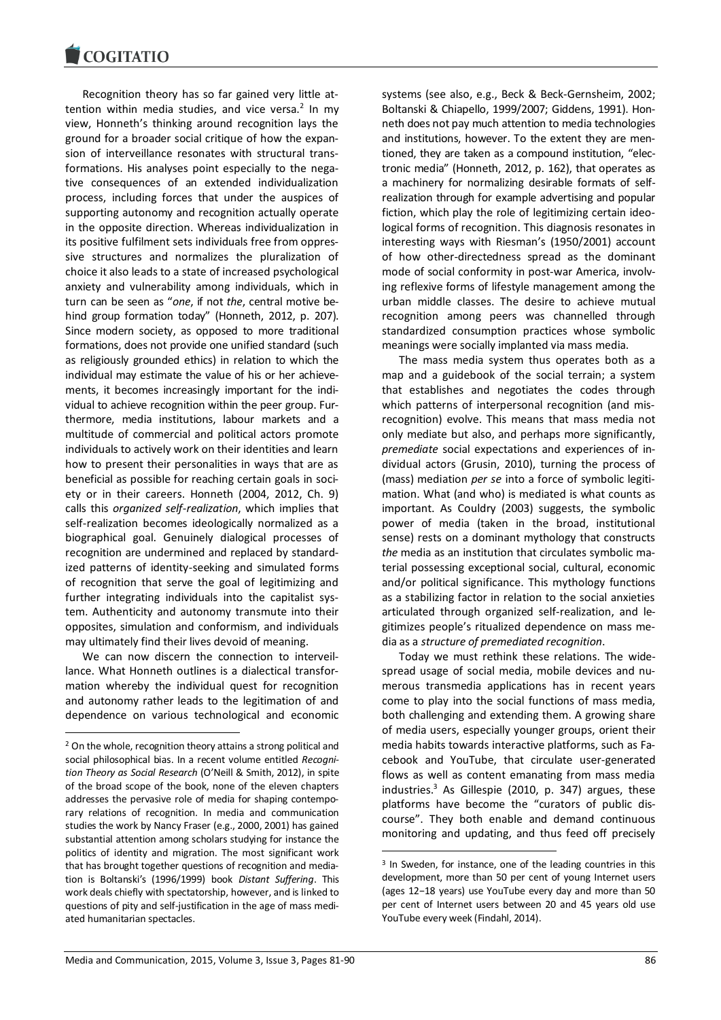Recognition theory has so far gained very little at $t$ ention within media studies, and vice versa. $2$  In my view, Honneth's thinking around recognition lays the ground for a broader social critique of how the expansion of interveillance resonates with structural transformations. His analyses point especially to the negative consequences of an extended individualization process, including forces that under the auspices of supporting autonomy and recognition actually operate in the opposite direction. Whereas individualization in its positive fulfilment sets individuals free from oppressive structures and normalizes the pluralization of choice it also leads to a state of increased psychological anxiety and vulnerability among individuals, which in turn can be seen as "*one*, if not *the*, central motive behind group formation today" (Honneth, 2012, p. 207). Since modern society, as opposed to more traditional formations, does not provide one unified standard (such as religiously grounded ethics) in relation to which the individual may estimate the value of his or her achievements, it becomes increasingly important for the individual to achieve recognition within the peer group. Furthermore, media institutions, labour markets and a multitude of commercial and political actors promote individuals to actively work on their identities and learn how to present their personalities in ways that are as beneficial as possible for reaching certain goals in society or in their careers. Honneth (2004, 2012, Ch. 9) calls this *organized self-realization*, which implies that self-realization becomes ideologically normalized as a biographical goal. Genuinely dialogical processes of recognition are undermined and replaced by standardized patterns of identity-seeking and simulated forms of recognition that serve the goal of legitimizing and further integrating individuals into the capitalist system. Authenticity and autonomy transmute into their opposites, simulation and conformism, and individuals may ultimately find their lives devoid of meaning.

We can now discern the connection to interveillance. What Honneth outlines is a dialectical transformation whereby the individual quest for recognition and autonomy rather leads to the legitimation of and dependence on various technological and economic

-

systems (see also, e.g., Beck & Beck-Gernsheim, 2002; Boltanski & Chiapello, 1999/2007; Giddens, 1991). Honneth does not pay much attention to media technologies and institutions, however. To the extent they are mentioned, they are taken as a compound institution, "electronic media" (Honneth, 2012, p. 162), that operates as a machinery for normalizing desirable formats of selfrealization through for example advertising and popular fiction, which play the role of legitimizing certain ideological forms of recognition. This diagnosis resonates in interesting ways with Riesman's (1950/2001) account of how other-directedness spread as the dominant mode of social conformity in post-war America, involving reflexive forms of lifestyle management among the urban middle classes. The desire to achieve mutual recognition among peers was channelled through standardized consumption practices whose symbolic meanings were socially implanted via mass media.

The mass media system thus operates both as a map and a guidebook of the social terrain; a system that establishes and negotiates the codes through which patterns of interpersonal recognition (and misrecognition) evolve. This means that mass media not only mediate but also, and perhaps more significantly, *premediate* social expectations and experiences of individual actors (Grusin, 2010), turning the process of (mass) mediation *per se* into a force of symbolic legitimation. What (and who) is mediated is what counts as important. As Couldry (2003) suggests, the symbolic power of media (taken in the broad, institutional sense) rests on a dominant mythology that constructs *the* media as an institution that circulates symbolic material possessing exceptional social, cultural, economic and/or political significance. This mythology functions as a stabilizing factor in relation to the social anxieties articulated through organized self-realization, and legitimizes people's ritualized dependence on mass media as a *structure of premediated recognition*.

Today we must rethink these relations. The widespread usage of social media, mobile devices and numerous transmedia applications has in recent years come to play into the social functions of mass media, both challenging and extending them. A growing share of media users, especially younger groups, orient their media habits towards interactive platforms, such as Facebook and YouTube, that circulate user-generated flows as well as content emanating from mass media industries.<sup>3</sup> As Gillespie (2010, p. 347) argues, these platforms have become the "curators of public discourse". They both enable and demand continuous monitoring and updating, and thus feed off precisely

-

<sup>2</sup> On the whole, recognition theory attains a strong political and social philosophical bias. In a recent volume entitled *Recognition Theory as Social Research* (O'Neill & Smith, 2012), in spite of the broad scope of the book, none of the eleven chapters addresses the pervasive role of media for shaping contemporary relations of recognition. In media and communication studies the work by Nancy Fraser (e.g., 2000, 2001) has gained substantial attention among scholars studying for instance the politics of identity and migration. The most significant work that has brought together questions of recognition and mediation is Boltanski's (1996/1999) book *Distant Suffering*. This work deals chiefly with spectatorship, however, and is linked to questions of pity and self-justification in the age of mass mediated humanitarian spectacles.

<sup>3</sup> In Sweden, for instance, one of the leading countries in this development, more than 50 per cent of young Internet users (ages 12−18 years) use YouTube every day and more than 50 per cent of Internet users between 20 and 45 years old use YouTube every week (Findahl, 2014).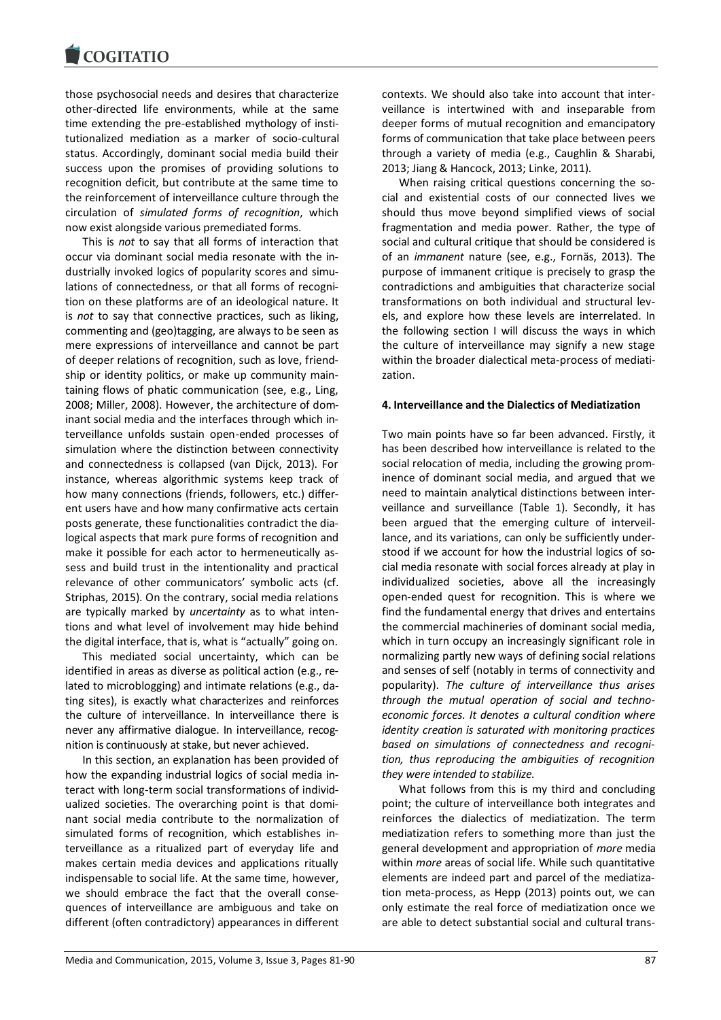those psychosocial needs and desires that characterize other-directed life environments, while at the same time extending the pre-established mythology of institutionalized mediation as a marker of socio-cultural status. Accordingly, dominant social media build their success upon the promises of providing solutions to recognition deficit, but contribute at the same time to the reinforcement of interveillance culture through the circulation of *simulated forms of recognition*, which now exist alongside various premediated forms.

This is *not* to say that all forms of interaction that occur via dominant social media resonate with the industrially invoked logics of popularity scores and simulations of connectedness, or that all forms of recognition on these platforms are of an ideological nature. It is *not* to say that connective practices, such as liking, commenting and (geo)tagging, are always to be seen as mere expressions of interveillance and cannot be part of deeper relations of recognition, such as love, friendship or identity politics, or make up community maintaining flows of phatic communication (see, e.g., Ling, 2008; Miller, 2008). However, the architecture of dominant social media and the interfaces through which interveillance unfolds sustain open-ended processes of simulation where the distinction between connectivity and connectedness is collapsed (van Dijck, 2013). For instance, whereas algorithmic systems keep track of how many connections (friends, followers, etc.) different users have and how many confirmative acts certain posts generate, these functionalities contradict the dialogical aspects that mark pure forms of recognition and make it possible for each actor to hermeneutically assess and build trust in the intentionality and practical relevance of other communicators' symbolic acts (cf. Striphas, 2015). On the contrary, social media relations are typically marked by *uncertainty* as to what intentions and what level of involvement may hide behind the digital interface, that is, what is "actually" going on.

This mediated social uncertainty, which can be identified in areas as diverse as political action (e.g., related to microblogging) and intimate relations (e.g., dating sites), is exactly what characterizes and reinforces the culture of interveillance. In interveillance there is never any affirmative dialogue. In interveillance, recognition is continuously at stake, but never achieved.

In this section, an explanation has been provided of how the expanding industrial logics of social media interact with long-term social transformations of individualized societies. The overarching point is that dominant social media contribute to the normalization of simulated forms of recognition, which establishes interveillance as a ritualized part of everyday life and makes certain media devices and applications ritually indispensable to social life. At the same time, however, we should embrace the fact that the overall consequences of interveillance are ambiguous and take on different (often contradictory) appearances in different

When raising critical questions concerning the social and existential costs of our connected lives we should thus move beyond simplified views of social fragmentation and media power. Rather, the type of social and cultural critique that should be considered is of an *immanent* nature (see, e.g., Fornäs, 2013). The purpose of immanent critique is precisely to grasp the contradictions and ambiguities that characterize social transformations on both individual and structural levels, and explore how these levels are interrelated. In the following section I will discuss the ways in which the culture of interveillance may signify a new stage within the broader dialectical meta-process of mediatization.

#### **4. Interveillance and the Dialectics of Mediatization**

Two main points have so far been advanced. Firstly, it has been described how interveillance is related to the social relocation of media, including the growing prominence of dominant social media, and argued that we need to maintain analytical distinctions between interveillance and surveillance (Table 1). Secondly, it has been argued that the emerging culture of interveillance, and its variations, can only be sufficiently understood if we account for how the industrial logics of social media resonate with social forces already at play in individualized societies, above all the increasingly open-ended quest for recognition. This is where we find the fundamental energy that drives and entertains the commercial machineries of dominant social media, which in turn occupy an increasingly significant role in normalizing partly new ways of defining social relations and senses of self (notably in terms of connectivity and popularity). *The culture of interveillance thus arises through the mutual operation of social and technoeconomic forces. It denotes a cultural condition where identity creation is saturated with monitoring practices based on simulations of connectedness and recognition, thus reproducing the ambiguities of recognition they were intended to stabilize.*

What follows from this is my third and concluding point; the culture of interveillance both integrates and reinforces the dialectics of mediatization. The term mediatization refers to something more than just the general development and appropriation of *more* media within *more* areas of social life. While such quantitative elements are indeed part and parcel of the mediatization meta-process, as Hepp (2013) points out, we can only estimate the real force of mediatization once we are able to detect substantial social and cultural trans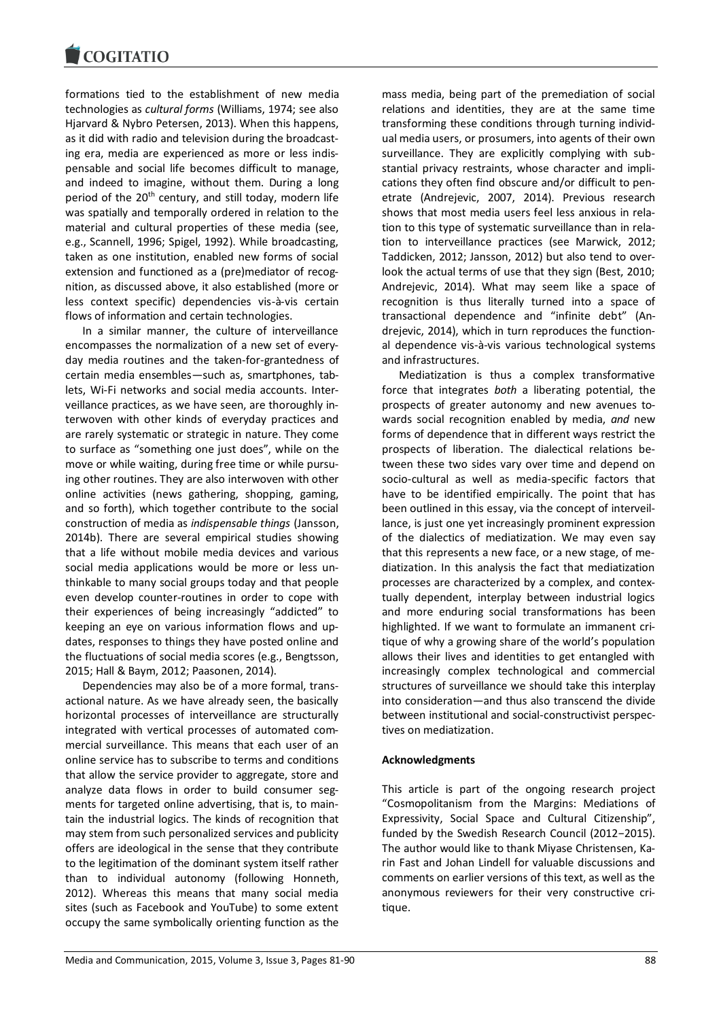formations tied to the establishment of new media technologies as *cultural forms* (Williams, 1974; see also Hjarvard & Nybro Petersen, 2013). When this happens, as it did with radio and television during the broadcasting era, media are experienced as more or less indispensable and social life becomes difficult to manage, and indeed to imagine, without them. During a long period of the 20<sup>th</sup> century, and still today, modern life was spatially and temporally ordered in relation to the material and cultural properties of these media (see, e.g., Scannell, 1996; Spigel, 1992). While broadcasting, taken as one institution, enabled new forms of social extension and functioned as a (pre)mediator of recognition, as discussed above, it also established (more or less context specific) dependencies vis-à-vis certain flows of information and certain technologies.

In a similar manner, the culture of interveillance encompasses the normalization of a new set of everyday media routines and the taken-for-grantedness of certain media ensembles—such as, smartphones, tablets, Wi-Fi networks and social media accounts. Interveillance practices, as we have seen, are thoroughly interwoven with other kinds of everyday practices and are rarely systematic or strategic in nature. They come to surface as "something one just does", while on the move or while waiting, during free time or while pursuing other routines. They are also interwoven with other online activities (news gathering, shopping, gaming, and so forth), which together contribute to the social construction of media as *indispensable things* (Jansson, 2014b). There are several empirical studies showing that a life without mobile media devices and various social media applications would be more or less unthinkable to many social groups today and that people even develop counter-routines in order to cope with their experiences of being increasingly "addicted" to keeping an eye on various information flows and updates, responses to things they have posted online and the fluctuations of social media scores (e.g., Bengtsson, 2015; Hall & Baym, 2012; Paasonen, 2014).

Dependencies may also be of a more formal, transactional nature. As we have already seen, the basically horizontal processes of interveillance are structurally integrated with vertical processes of automated commercial surveillance. This means that each user of an online service has to subscribe to terms and conditions that allow the service provider to aggregate, store and analyze data flows in order to build consumer segments for targeted online advertising, that is, to maintain the industrial logics. The kinds of recognition that may stem from such personalized services and publicity offers are ideological in the sense that they contribute to the legitimation of the dominant system itself rather than to individual autonomy (following Honneth, 2012). Whereas this means that many social media sites (such as Facebook and YouTube) to some extent occupy the same symbolically orienting function as the

mass media, being part of the premediation of social relations and identities, they are at the same time transforming these conditions through turning individual media users, or prosumers, into agents of their own surveillance. They are explicitly complying with substantial privacy restraints, whose character and implications they often find obscure and/or difficult to penetrate (Andrejevic, 2007, 2014). Previous research shows that most media users feel less anxious in relation to this type of systematic surveillance than in relation to interveillance practices (see Marwick, 2012; Taddicken, 2012; Jansson, 2012) but also tend to overlook the actual terms of use that they sign (Best, 2010; Andrejevic, 2014). What may seem like a space of recognition is thus literally turned into a space of transactional dependence and "infinite debt" (Andrejevic, 2014), which in turn reproduces the functional dependence vis-à-vis various technological systems and infrastructures.

Mediatization is thus a complex transformative force that integrates *both* a liberating potential, the prospects of greater autonomy and new avenues towards social recognition enabled by media, *and* new forms of dependence that in different ways restrict the prospects of liberation. The dialectical relations between these two sides vary over time and depend on socio-cultural as well as media-specific factors that have to be identified empirically. The point that has been outlined in this essay, via the concept of interveillance, is just one yet increasingly prominent expression of the dialectics of mediatization. We may even say that this represents a new face, or a new stage, of mediatization. In this analysis the fact that mediatization processes are characterized by a complex, and contextually dependent, interplay between industrial logics and more enduring social transformations has been highlighted. If we want to formulate an immanent critique of why a growing share of the world's population allows their lives and identities to get entangled with increasingly complex technological and commercial structures of surveillance we should take this interplay into consideration—and thus also transcend the divide between institutional and social-constructivist perspectives on mediatization.

#### **Acknowledgments**

This article is part of the ongoing research project "Cosmopolitanism from the Margins: Mediations of Expressivity, Social Space and Cultural Citizenship", funded by the Swedish Research Council (2012−2015). The author would like to thank Miyase Christensen, Karin Fast and Johan Lindell for valuable discussions and comments on earlier versions of this text, as well as the anonymous reviewers for their very constructive critique.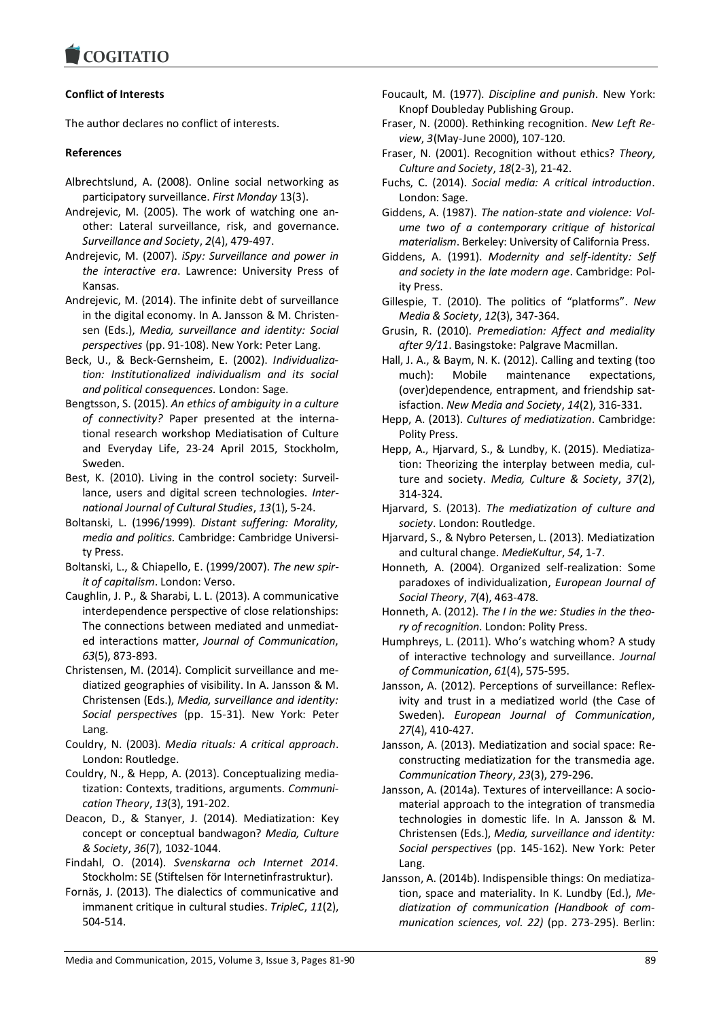## **Conflict of Interests**

The author declares no conflict of interests.

### **References**

- Albrechtslund, A. (2008). Online social networking as participatory surveillance. *First Monday* 13(3).
- Andrejevic, M. (2005). The work of watching one another: Lateral surveillance, risk, and governance. *Surveillance and Society*, *2*(4), 479-497.
- Andrejevic, M. (2007). *iSpy: Surveillance and power in the interactive era*. Lawrence: University Press of Kansas.
- Andrejevic, M. (2014). The infinite debt of surveillance in the digital economy. In A. Jansson & M. Christensen (Eds.), *Media, surveillance and identity: Social perspectives* (pp. 91-108). New York: Peter Lang.
- Beck, U., & Beck-Gernsheim, E. (2002). *Individualization: Institutionalized individualism and its social and political consequences.* London: Sage.
- Bengtsson, S. (2015). *An ethics of ambiguity in a culture of connectivity?* Paper presented at the international research workshop Mediatisation of Culture and Everyday Life, 23-24 April 2015, Stockholm, Sweden.
- Best, K. (2010). Living in the control society: Surveillance, users and digital screen technologies. *International Journal of Cultural Studies*, *13*(1), 5-24.
- Boltanski, L. (1996/1999). *Distant suffering: Morality, media and politics.* Cambridge: Cambridge University Press.
- Boltanski, L., & Chiapello, E. (1999/2007). *The new spirit of capitalism*. London: Verso.
- Caughlin, J. P., & Sharabi, L. L. (2013). A communicative interdependence perspective of close relationships: The connections between mediated and unmediated interactions matter, *Journal of Communication*, *63*(5), 873-893.
- Christensen, M. (2014). Complicit surveillance and mediatized geographies of visibility. In A. Jansson & M. Christensen (Eds.), *Media, surveillance and identity: Social perspectives* (pp. 15-31). New York: Peter Lang.
- Couldry, N. (2003). *Media rituals: A critical approach*. London: Routledge.
- Couldry, N., & Hepp, A. (2013). Conceptualizing mediatization: Contexts, traditions, arguments. *Communication Theory*, *13*(3), 191-202.
- Deacon, D., & Stanyer, J. (2014). Mediatization: Key concept or conceptual bandwagon? *Media, Culture & Society*, *36*(7), 1032-1044.
- Findahl, O. (2014). *Svenskarna och Internet 2014*. Stockholm: SE (Stiftelsen för Internetinfrastruktur).
- Fornäs, J. (2013). The dialectics of communicative and immanent critique in cultural studies. *TripleC*, *11*(2), 504-514.
- Foucault, M. (1977). *Discipline and punish*. New York: Knopf Doubleday Publishing Group.
- Fraser, N. (2000). Rethinking recognition. *New Left Review*, *3*(May-June 2000), 107-120.
- Fraser, N. (2001). Recognition without ethics? *Theory, Culture and Society*, *18*(2-3), 21-42.
- Fuchs, C. (2014). *Social media: A critical introduction*. London: Sage.
- Giddens, A. (1987). *The nation-state and violence: Volume two of a contemporary critique of historical materialism*. Berkeley: University of California Press.
- Giddens, A. (1991). *Modernity and self-identity: Self and society in the late modern age*. Cambridge: Polity Press.
- Gillespie, T. (2010). The politics of "platforms". *New Media & Society*, *12*(3), 347-364.
- Grusin, R. (2010). *Premediation: Affect and mediality after 9/11*. Basingstoke: Palgrave Macmillan.
- Hall, J. A., & Baym, N. K. (2012). Calling and texting (too much): Mobile maintenance expectations, (over)dependence, entrapment, and friendship satisfaction. *New Media and Society*, *14*(2), 316-331.
- Hepp, A. (2013). *Cultures of mediatization*. Cambridge: Polity Press.
- Hepp, A., Hjarvard, S., & Lundby, K. (2015). Mediatization: Theorizing the interplay between media, culture and society. *Media, Culture & Society*, *37*(2), 314-324.
- Hjarvard, S. (2013). *The mediatization of culture and society*. London: Routledge.
- Hjarvard, S., & Nybro Petersen, L. (2013). Mediatization and cultural change. *MedieKultur*, *54*, 1-7.
- Honneth*,* A. (2004). Organized self-realization: Some paradoxes of individualization, *European Journal of Social Theory*, *7*(4), 463-478.
- Honneth, A. (2012). *The I in the we: Studies in the theory of recognition*. London: Polity Press.
- Humphreys, L. (2011). Who's watching whom? A study of interactive technology and surveillance. *Journal of Communication*, *61*(4), 575-595.
- Jansson, A. (2012). Perceptions of surveillance: Reflexivity and trust in a mediatized world (the Case of Sweden). *European Journal of Communication*, *27*(4), 410-427.
- Jansson, A. (2013). Mediatization and social space: Reconstructing mediatization for the transmedia age. *Communication Theory*, *23*(3), 279-296.
- Jansson, A. (2014a). Textures of interveillance: A sociomaterial approach to the integration of transmedia technologies in domestic life. In A. Jansson & M. Christensen (Eds.), *Media, surveillance and identity: Social perspectives* (pp. 145-162). New York: Peter Lang.
- Jansson, A. (2014b). Indispensible things: On mediatization, space and materiality. In K. Lundby (Ed.), *Mediatization of communication (Handbook of communication sciences, vol. 22)* (pp. 273-295). Berlin: